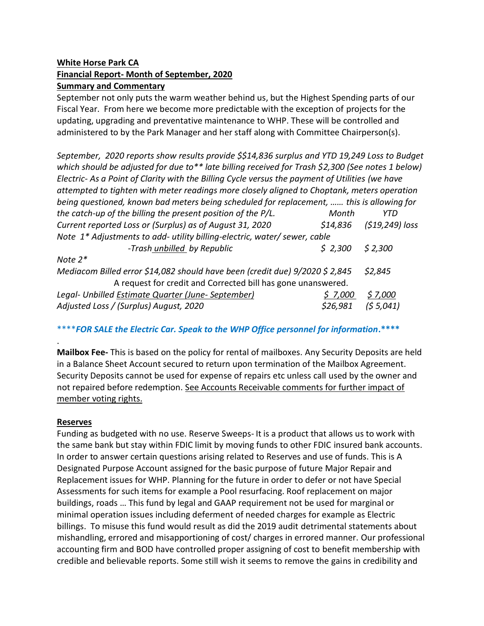# **White Horse Park CA Financial Report- Month of September, 2020 Summary and Commentary**

September not only puts the warm weather behind us, but the Highest Spending parts of our Fiscal Year. From here we become more predictable with the exception of projects for the updating, upgrading and preventative maintenance to WHP. These will be controlled and administered to by the Park Manager and her staff along with Committee Chairperson(s).

*September, 2020 reports show results provide \$\$14,836 surplus and YTD 19,249 Loss to Budget which should be adjusted for due to\*\* late billing received for Trash \$2,300 (See notes 1 below) Electric- As a Point of Clarity with the Billing Cycle versus the payment of Utilities (we have attempted to tighten with meter readings more closely aligned to Choptank, meters operation being questioned, known bad meters being scheduled for replacement, …… this is allowing for the catch-up of the billing the present position of the P/L. Month YTD Current reported Loss or (Surplus) as of August 31, 2020 \$14,836 (\$19,249) loss Note 1\* Adjustments to add- utility billing-electric, water/ sewer, cable -Trash unbilled by Republic \$ 2,300 \$ 2,300 Note 2\* Mediacom Billed error \$14,082 should have been (credit due) 9/2020 \$ 2,845 \$2,845* A request for credit and Corrected bill has gone unanswered. *Legal- Unbilled Estimate Quarter (June- September) \$ 7,000 \$ 7,000 Adjusted Loss / (Surplus) August, 2020 \$26,981 (\$ 5,041)* 

## \*\*\*\**FOR SALE the Electric Car. Speak to the WHP Office personnel for information***.\*\*\*\***

**Mailbox Fee-** This is based on the policy for rental of mailboxes. Any Security Deposits are held in a Balance Sheet Account secured to return upon termination of the Mailbox Agreement. Security Deposits cannot be used for expense of repairs etc unless call used by the owner and not repaired before redemption. See Accounts Receivable comments for further impact of member voting rights.

## **Reserves**

.

Funding as budgeted with no use. Reserve Sweeps- It is a product that allows us to work with the same bank but stay within FDIC limit by moving funds to other FDIC insured bank accounts. In order to answer certain questions arising related to Reserves and use of funds. This is A Designated Purpose Account assigned for the basic purpose of future Major Repair and Replacement issues for WHP. Planning for the future in order to defer or not have Special Assessments for such items for example a Pool resurfacing. Roof replacement on major buildings, roads … This fund by legal and GAAP requirement not be used for marginal or minimal operation issues including deferment of needed charges for example as Electric billings. To misuse this fund would result as did the 2019 audit detrimental statements about mishandling, errored and misapportioning of cost/ charges in errored manner. Our professional accounting firm and BOD have controlled proper assigning of cost to benefit membership with credible and believable reports. Some still wish it seems to remove the gains in credibility and